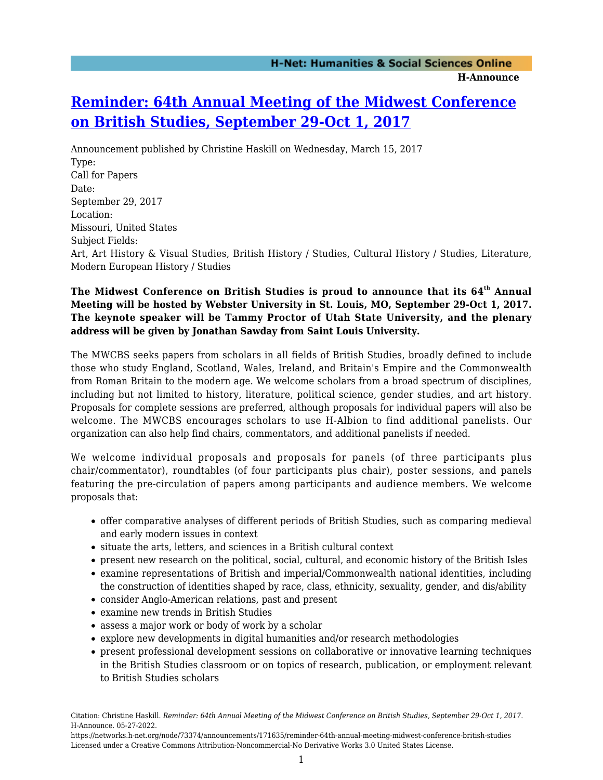## **[Reminder: 64th Annual Meeting of the Midwest Conference](https://networks.h-net.org/node/73374/announcements/171635/reminder-64th-annual-meeting-midwest-conference-british-studies) [on British Studies, September 29-Oct 1, 2017](https://networks.h-net.org/node/73374/announcements/171635/reminder-64th-annual-meeting-midwest-conference-british-studies)**

Announcement published by Christine Haskill on Wednesday, March 15, 2017 Type: Call for Papers Date: September 29, 2017 Location: Missouri, United States Subject Fields: Art, Art History & Visual Studies, British History / Studies, Cultural History / Studies, Literature, Modern European History / Studies

## **The Midwest Conference on British Studies is proud to announce that its 64th Annual Meeting will be hosted by Webster University in St. Louis, MO, September 29-Oct 1, 2017. The keynote speaker will be Tammy Proctor of Utah State University, and the plenary address will be given by Jonathan Sawday from Saint Louis University.**

The MWCBS seeks papers from scholars in all fields of British Studies, broadly defined to include those who study England, Scotland, Wales, Ireland, and Britain's Empire and the Commonwealth from Roman Britain to the modern age. We welcome scholars from a broad spectrum of disciplines, including but not limited to history, literature, political science, gender studies, and art history. Proposals for complete sessions are preferred, although proposals for individual papers will also be welcome. The MWCBS encourages scholars to use H-Albion to find additional panelists. Our organization can also help find chairs, commentators, and additional panelists if needed.

We welcome individual proposals and proposals for panels (of three participants plus chair/commentator), roundtables (of four participants plus chair), poster sessions, and panels featuring the pre-circulation of papers among participants and audience members. We welcome proposals that:

- offer comparative analyses of different periods of British Studies, such as comparing medieval and early modern issues in context
- situate the arts, letters, and sciences in a British cultural context
- present new research on the political, social, cultural, and economic history of the British Isles
- examine representations of British and imperial/Commonwealth national identities, including the construction of identities shaped by race, class, ethnicity, sexuality, gender, and dis/ability
- consider Anglo-American relations, past and present
- examine new trends in British Studies
- assess a major work or body of work by a scholar
- explore new developments in digital humanities and/or research methodologies
- present professional development sessions on collaborative or innovative learning techniques in the British Studies classroom or on topics of research, publication, or employment relevant to British Studies scholars

Citation: Christine Haskill. *Reminder: 64th Annual Meeting of the Midwest Conference on British Studies, September 29-Oct 1, 2017*. H-Announce. 05-27-2022.

https://networks.h-net.org/node/73374/announcements/171635/reminder-64th-annual-meeting-midwest-conference-british-studies Licensed under a Creative Commons Attribution-Noncommercial-No Derivative Works 3.0 United States License.